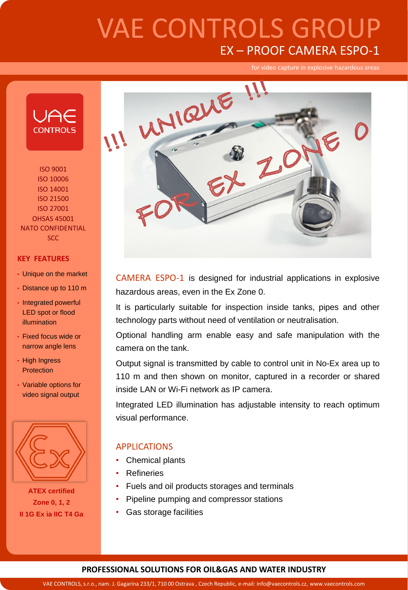

ISO 9001 ISO 10006 ISO 14001 ISO 21500 ISO 27001 OHSAS 45001 NATO CONFIDENTIAL SCC

#### **KEY FEATURES**

- Unique on the market
- Distance up to 110 m
- Integrated powerful LED spot or flood illumination
- Fixed focus wide or narrow angle lens
- High Ingress **Protection**
- Variable options for video signal output



**ATEX certified Zone 0, 1, 2 II 1G Ex ia IIC T4 Ga**



CAMERA ESPO-1 is designed for industrial applications in explosive hazardous areas, even in the Ex Zone 0.

It is particularly suitable for inspection inside tanks, pipes and other technology parts without need of ventilation or neutralisation.

Optional handling arm enable easy and safe manipulation with the camera on the tank.

Output signal is transmitted by cable to control unit in No-Ex area up to 110 m and then shown on monitor, captured in a recorder or shared inside LAN or Wi-Fi network as IP camera.

Integrated LED illumination has adjustable intensity to reach optimum visual performance.

### APPLICATIONS

- Chemical plants
- Refineries
- Fuels and oil products storages and terminals
- Pipeline pumping and compressor stations
- Gas storage facilities

#### **PROFESSIONAL SOLUTIONS FOR OIL&GAS AND WATER INDUSTRY**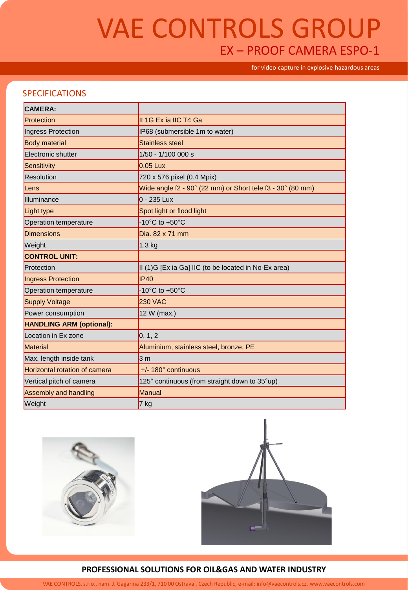for video capture in explosive hazardous areas

## SPECIFICATIONS

| <b>CAMERA:</b>                  |                                                            |
|---------------------------------|------------------------------------------------------------|
| Protection                      | II 1G Ex ia IIC T4 Ga                                      |
| Ingress Protection              | IP68 (submersible 1m to water)                             |
| <b>Body material</b>            | Stainless steel                                            |
| Electronic shutter              | 1/50 - 1/100 000 s                                         |
| Sensitivity                     | $0.05$ Lux                                                 |
| Resolution                      | 720 x 576 pixel (0.4 Mpix)                                 |
| Lens                            | Wide angle f2 - 90° (22 mm) or Short tele f3 - 30° (80 mm) |
| Illuminance                     | $0 - 235$ Lux                                              |
| Light type                      | Spot light or flood light                                  |
| Operation temperature           | -10 $^{\circ}$ C to +50 $^{\circ}$ C                       |
| <b>Dimensions</b>               | Dia. 82 x 71 mm                                            |
| Weight                          | $1.3$ kg                                                   |
| <b>CONTROL UNIT:</b>            |                                                            |
| Protection                      | II (1)G [Ex ia Ga] IIC (to be located in No-Ex area)       |
| Ingress Protection              | IP40                                                       |
| Operation temperature           | $-10^{\circ}$ C to $+50^{\circ}$ C                         |
| Supply Voltage                  | <b>230 VAC</b>                                             |
| Power consumption               | 12 W (max.)                                                |
| <b>HANDLING ARM (optional):</b> |                                                            |
| Location in Ex zone             | 0, 1, 2                                                    |
| Material                        | Aluminium, stainless steel, bronze, PE                     |
| Max. length inside tank         | 3 <sub>m</sub>                                             |
| Horizontal rotation of camera   | +/- 180° continuous                                        |
| Vertical pitch of camera        | 125° continuous (from straight down to 35°up)              |
| Assembly and handling           | Manual                                                     |
| Weight                          | $7$ kg                                                     |





#### **PROFESSIONAL SOLUTIONS FOR OIL&GAS AND WATER INDUSTRY**

VAE CONTROLS, s.r.o., nam. J. Gagarina 233/1, 710 00 Ostrava , Czech Republic, e-mail: info@vaecontrols.cz, www.vaecontrols.com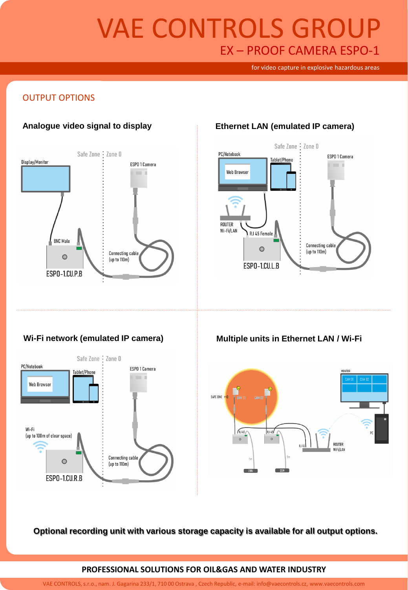for video capture in explosive hazardous areas

### OUTPUT OPTIONS



### **Analogue video signal to display Ethernet LAN (emulated IP camera)**



### **Wi-Fi network (emulated IP camera) Multiple units in Ethernet LAN / Wi-Fi**





**Optional recording unit with various storage capacity is available for all output options.**

#### **PROFESSIONAL SOLUTIONS FOR OIL&GAS AND WATER INDUSTRY**

VAE CONTROLS, s.r.o., nam. J. Gagarina 233/1, 710 00 Ostrava , Czech Republic, e-mail: info@vaecontrols.cz, www.vaecontrols.com